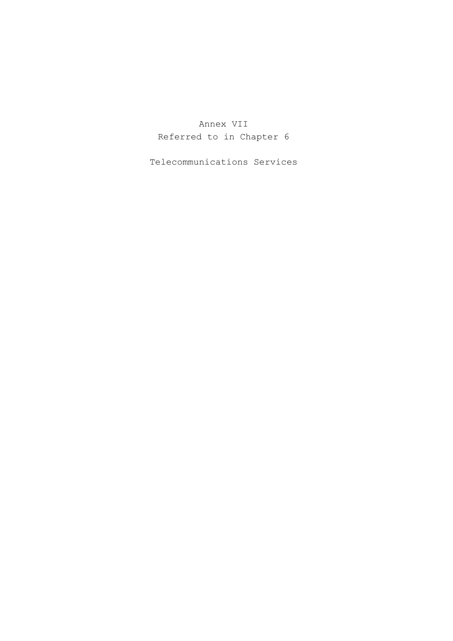Annex VII Referred to in Chapter 6

Telecommunications Services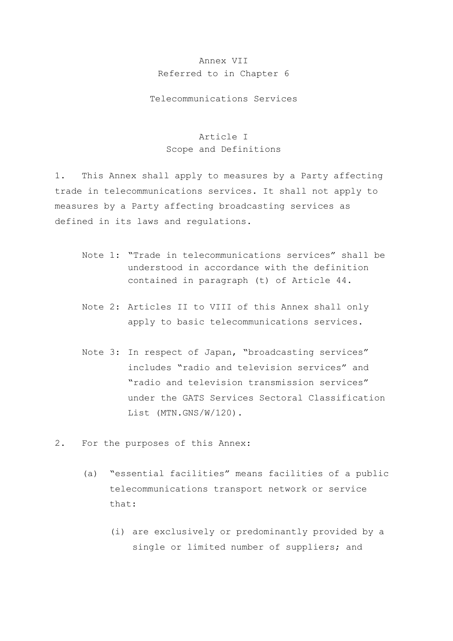### Annex VII Referred to in Chapter 6

Telecommunications Services

## Article I Scope and Definitions

1. This Annex shall apply to measures by a Party affecting trade in telecommunications services. It shall not apply to measures by a Party affecting broadcasting services as defined in its laws and regulations.

- Note 1: "Trade in telecommunications services" shall be understood in accordance with the definition contained in paragraph (t) of Article 44.
- Note 2: Articles II to VIII of this Annex shall only apply to basic telecommunications services.
- Note 3: In respect of Japan, "broadcasting services" includes "radio and television services" and "radio and television transmission services" under the GATS Services Sectoral Classification List (MTN.GNS/W/120).
- 2. For the purposes of this Annex:
	- (a) "essential facilities" means facilities of a public telecommunications transport network or service that:
		- (i) are exclusively or predominantly provided by a single or limited number of suppliers; and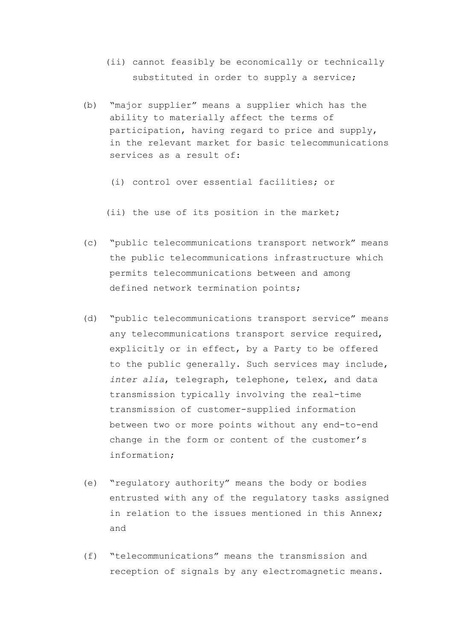- (ii) cannot feasibly be economically or technically substituted in order to supply a service;
- (b) "major supplier" means a supplier which has the ability to materially affect the terms of participation, having regard to price and supply, in the relevant market for basic telecommunications services as a result of:
	- (i) control over essential facilities; or

(ii) the use of its position in the market;

- (c) "public telecommunications transport network" means the public telecommunications infrastructure which permits telecommunications between and among defined network termination points;
- (d) "public telecommunications transport service" means any telecommunications transport service required, explicitly or in effect, by a Party to be offered to the public generally. Such services may include, *inter alia*, telegraph, telephone, telex, and data transmission typically involving the real-time transmission of customer-supplied information between two or more points without any end-to-end change in the form or content of the customer's information;
- (e) "regulatory authority" means the body or bodies entrusted with any of the regulatory tasks assigned in relation to the issues mentioned in this Annex; and
- (f) "telecommunications" means the transmission and reception of signals by any electromagnetic means.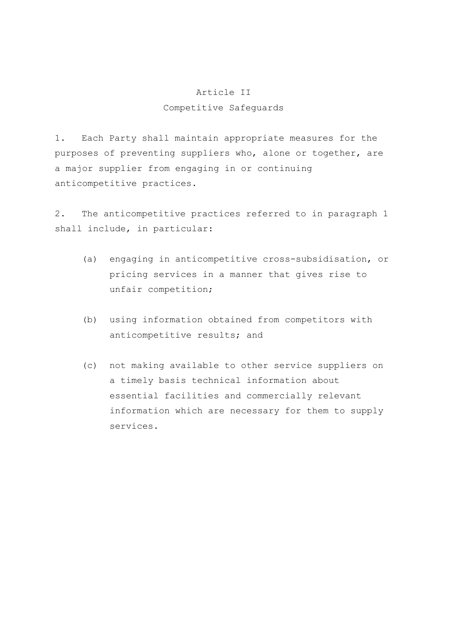# Article II Competitive Safeguards

1. Each Party shall maintain appropriate measures for the purposes of preventing suppliers who, alone or together, are a major supplier from engaging in or continuing anticompetitive practices.

2. The anticompetitive practices referred to in paragraph 1 shall include, in particular:

- (a) engaging in anticompetitive cross-subsidisation, or pricing services in a manner that gives rise to unfair competition;
- (b) using information obtained from competitors with anticompetitive results; and
- (c) not making available to other service suppliers on a timely basis technical information about essential facilities and commercially relevant information which are necessary for them to supply services.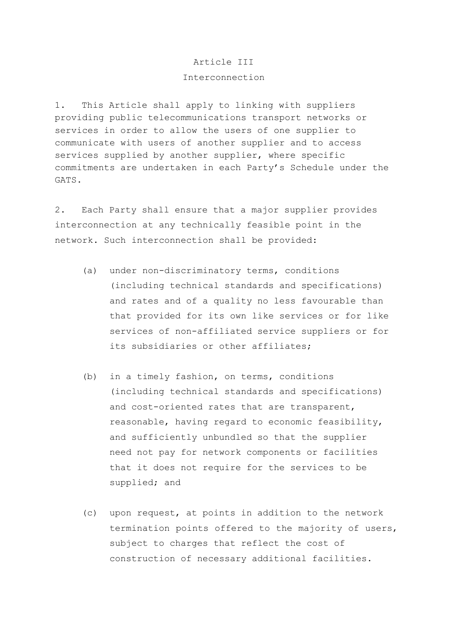#### Article III

#### Interconnection

1. This Article shall apply to linking with suppliers providing public telecommunications transport networks or services in order to allow the users of one supplier to communicate with users of another supplier and to access services supplied by another supplier, where specific commitments are undertaken in each Party's Schedule under the GATS.

2. Each Party shall ensure that a major supplier provides interconnection at any technically feasible point in the network. Such interconnection shall be provided:

- (a) under non-discriminatory terms, conditions (including technical standards and specifications) and rates and of a quality no less favourable than that provided for its own like services or for like services of non-affiliated service suppliers or for its subsidiaries or other affiliates;
- (b) in a timely fashion, on terms, conditions (including technical standards and specifications) and cost-oriented rates that are transparent, reasonable, having regard to economic feasibility, and sufficiently unbundled so that the supplier need not pay for network components or facilities that it does not require for the services to be supplied; and
- (c) upon request, at points in addition to the network termination points offered to the majority of users, subject to charges that reflect the cost of construction of necessary additional facilities.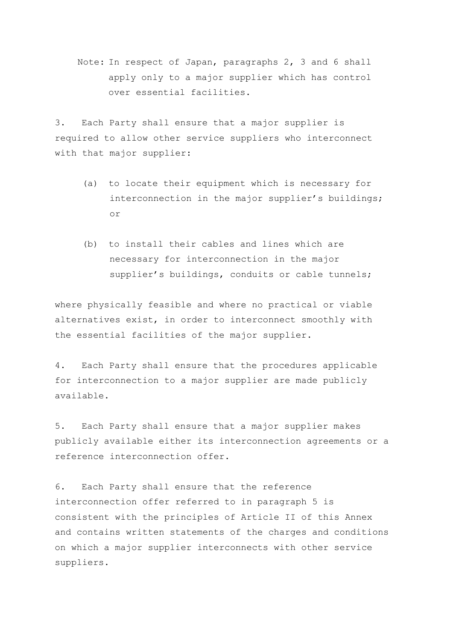Note: In respect of Japan, paragraphs 2, 3 and 6 shall apply only to a major supplier which has control over essential facilities.

3. Each Party shall ensure that a major supplier is required to allow other service suppliers who interconnect with that major supplier:

- (a) to locate their equipment which is necessary for interconnection in the major supplier's buildings; or
- (b) to install their cables and lines which are necessary for interconnection in the major supplier's buildings, conduits or cable tunnels;

where physically feasible and where no practical or viable alternatives exist, in order to interconnect smoothly with the essential facilities of the major supplier.

4. Each Party shall ensure that the procedures applicable for interconnection to a major supplier are made publicly available.

5. Each Party shall ensure that a major supplier makes publicly available either its interconnection agreements or a reference interconnection offer.

6. Each Party shall ensure that the reference interconnection offer referred to in paragraph 5 is consistent with the principles of Article II of this Annex and contains written statements of the charges and conditions on which a major supplier interconnects with other service suppliers.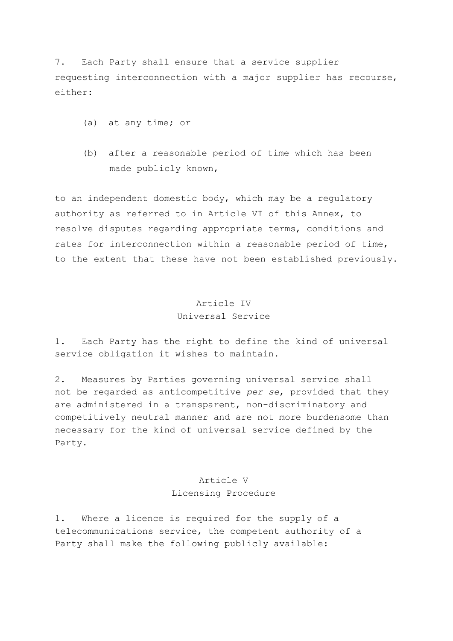7. Each Party shall ensure that a service supplier requesting interconnection with a major supplier has recourse, either:

- (a) at any time; or
- (b) after a reasonable period of time which has been made publicly known,

to an independent domestic body, which may be a regulatory authority as referred to in Article VI of this Annex, to resolve disputes regarding appropriate terms, conditions and rates for interconnection within a reasonable period of time, to the extent that these have not been established previously.

## Article IV Universal Service

1. Each Party has the right to define the kind of universal service obligation it wishes to maintain.

2. Measures by Parties governing universal service shall not be regarded as anticompetitive *per se*, provided that they are administered in a transparent, non-discriminatory and competitively neutral manner and are not more burdensome than necessary for the kind of universal service defined by the Party.

## Article V Licensing Procedure

1. Where a licence is required for the supply of a telecommunications service, the competent authority of a Party shall make the following publicly available: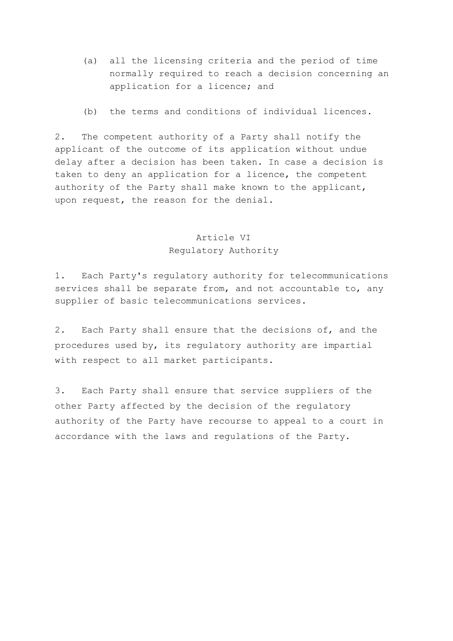- (a) all the licensing criteria and the period of time normally required to reach a decision concerning an application for a licence; and
- (b) the terms and conditions of individual licences.

2. The competent authority of a Party shall notify the applicant of the outcome of its application without undue delay after a decision has been taken. In case a decision is taken to deny an application for a licence, the competent authority of the Party shall make known to the applicant, upon request, the reason for the denial.

#### Article VI

#### Regulatory Authority

1. Each Party's regulatory authority for telecommunications services shall be separate from, and not accountable to, any supplier of basic telecommunications services.

2. Each Party shall ensure that the decisions of, and the procedures used by, its regulatory authority are impartial with respect to all market participants.

3. Each Party shall ensure that service suppliers of the other Party affected by the decision of the regulatory authority of the Party have recourse to appeal to a court in accordance with the laws and regulations of the Party.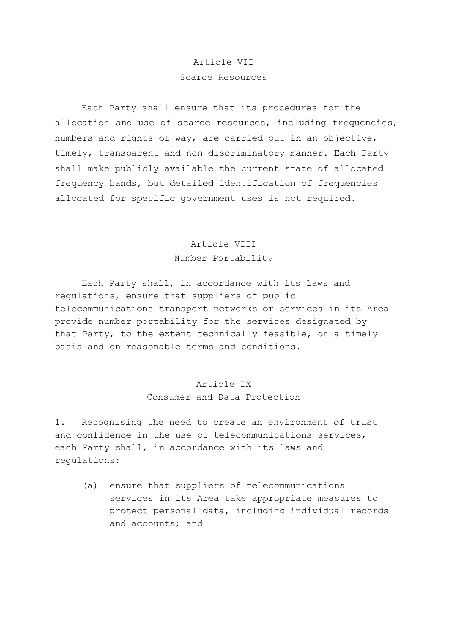## Article VII Scarce Resources

Each Party shall ensure that its procedures for the allocation and use of scarce resources, including frequencies, numbers and rights of way, are carried out in an objective, timely, transparent and non-discriminatory manner. Each Party shall make publicly available the current state of allocated frequency bands, but detailed identification of frequencies allocated for specific government uses is not required.

# Article VIII Number Portability

 Each Party shall, in accordance with its laws and regulations, ensure that suppliers of public telecommunications transport networks or services in its Area provide number portability for the services designated by that Party, to the extent technically feasible, on a timely basis and on reasonable terms and conditions.

# Article IX

## Consumer and Data Protection

1. Recognising the need to create an environment of trust and confidence in the use of telecommunications services, each Party shall, in accordance with its laws and regulations:

 (a) ensure that suppliers of telecommunications services in its Area take appropriate measures to protect personal data, including individual records and accounts; and